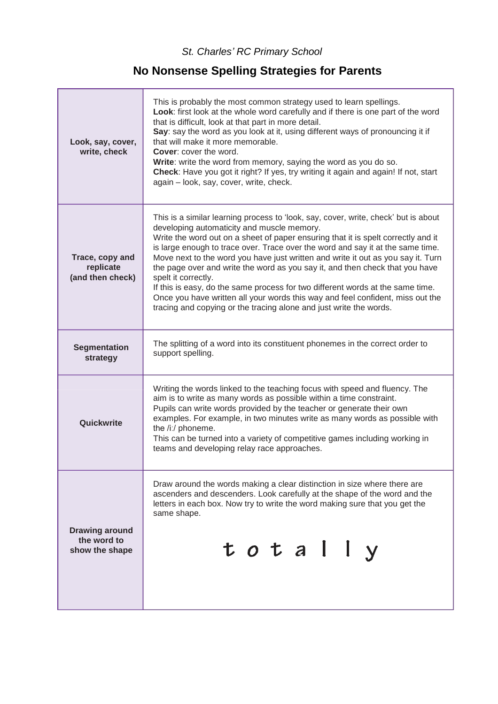*St. Charles' RC Primary School*

## **No Nonsense Spelling Strategies for Parents**

| Look, say, cover,<br>write, check                      | This is probably the most common strategy used to learn spellings.<br>Look: first look at the whole word carefully and if there is one part of the word<br>that is difficult, look at that part in more detail.<br>Say: say the word as you look at it, using different ways of pronouncing it if<br>that will make it more memorable.<br><b>Cover:</b> cover the word.<br>Write: write the word from memory, saying the word as you do so.<br>Check: Have you got it right? If yes, try writing it again and again! If not, start<br>again - look, say, cover, write, check.                                                                                                                                                                  |
|--------------------------------------------------------|------------------------------------------------------------------------------------------------------------------------------------------------------------------------------------------------------------------------------------------------------------------------------------------------------------------------------------------------------------------------------------------------------------------------------------------------------------------------------------------------------------------------------------------------------------------------------------------------------------------------------------------------------------------------------------------------------------------------------------------------|
| Trace, copy and<br>replicate<br>(and then check)       | This is a similar learning process to 'look, say, cover, write, check' but is about<br>developing automaticity and muscle memory.<br>Write the word out on a sheet of paper ensuring that it is spelt correctly and it<br>is large enough to trace over. Trace over the word and say it at the same time.<br>Move next to the word you have just written and write it out as you say it. Turn<br>the page over and write the word as you say it, and then check that you have<br>spelt it correctly.<br>If this is easy, do the same process for two different words at the same time.<br>Once you have written all your words this way and feel confident, miss out the<br>tracing and copying or the tracing alone and just write the words. |
| <b>Segmentation</b><br>strategy                        | The splitting of a word into its constituent phonemes in the correct order to<br>support spelling.                                                                                                                                                                                                                                                                                                                                                                                                                                                                                                                                                                                                                                             |
| Quickwrite                                             | Writing the words linked to the teaching focus with speed and fluency. The<br>aim is to write as many words as possible within a time constraint.<br>Pupils can write words provided by the teacher or generate their own<br>examples. For example, in two minutes write as many words as possible with<br>the /i:/ phoneme.<br>This can be turned into a variety of competitive games including working in<br>teams and developing relay race approaches.                                                                                                                                                                                                                                                                                     |
| <b>Drawing around</b><br>the word to<br>show the shape | Draw around the words making a clear distinction in size where there are<br>ascenders and descenders. Look carefully at the shape of the word and the<br>letters in each box. Now try to write the word making sure that you get the<br>same shape.<br>totally                                                                                                                                                                                                                                                                                                                                                                                                                                                                                 |